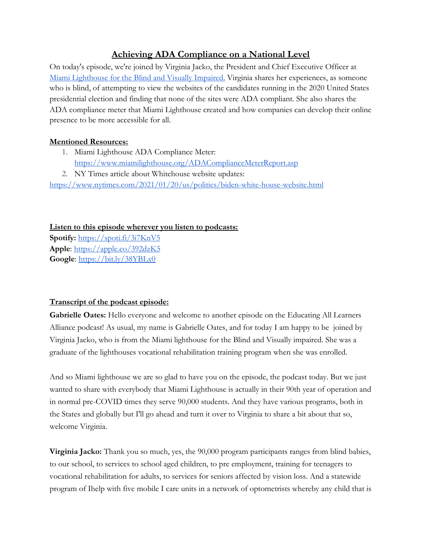## **Achieving ADA Compliance on a National Level**

On today's episode, we're joined by Virginia Jacko, the President and Chief Executive Officer at [Miami Lighthouse for the Blind and Visually Impaired.](http://www.miamilighthouse.org/) Virginia shares her experiences, as someone who is blind, of attempting to view the websites of the candidates running in the 2020 United States presidential election and finding that none of the sites were ADA compliant. She also shares the ADA compliance meter that Miami Lighthouse created and how companies can develop their online presence to be more accessible for all.

## **Mentioned Resources:**

- 1. Miami Lighthouse ADA Compliance Meter: <https://www.miamilighthouse.org/ADAComplianceMeterReport.asp>
- 2. NY Times article about Whitehouse website updates:

<https://www.nytimes.com/2021/01/20/us/politics/biden-white-house-website.html>

**Listen to this episode wherever you listen to podcasts:**

**Spotify:** <https://spoti.fi/3i7KnV5> **Apple**:<https://apple.co/392dzK5> **Google**:<https://bit.ly/38YBLx0>

## **Transcript of the podcast episode:**

**Gabrielle Oates:** Hello everyone and welcome to another episode on the Educating All Learners Alliance podcast! As usual, my name is Gabrielle Oates, and for today I am happy to be joined by Virginia Jacko, who is from the Miami lighthouse for the Blind and Visually impaired. She was a graduate of the lighthouses vocational rehabilitation training program when she was enrolled.

And so Miami lighthouse we are so glad to have you on the episode, the podcast today. But we just wanted to share with everybody that Miami Lighthouse is actually in their 90th year of operation and in normal pre-COVID times they serve 90,000 students. And they have various programs, both in the States and globally but I'll go ahead and turn it over to Virginia to share a bit about that so, welcome Virginia.

**Virginia Jacko:** Thank you so much, yes, the 90,000 program participants ranges from blind babies, to our school, to services to school aged children, to pre employment, training for teenagers to vocational rehabilitation for adults, to services for seniors affected by vision loss. And a statewide program of Ihelp with five mobile I care units in a network of optometrists whereby any child that is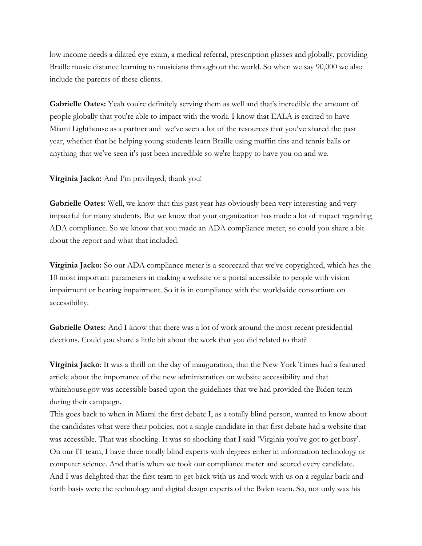low income needs a dilated eye exam, a medical referral, prescription glasses and globally, providing Braille music distance learning to musicians throughout the world. So when we say 90,000 we also include the parents of these clients.

**Gabrielle Oates:** Yeah you're definitely serving them as well and that's incredible the amount of people globally that you're able to impact with the work. I know that EALA is excited to have Miami Lighthouse as a partner and we've seen a lot of the resources that you've shared the past year, whether that be helping young students learn Braille using muffin tins and tennis balls or anything that we've seen it's just been incredible so we're happy to have you on and we.

**Virginia Jacko:** And I'm privileged, thank you!

**Gabrielle Oates**: Well, we know that this past year has obviously been very interesting and very impactful for many students. But we know that your organization has made a lot of impact regarding ADA compliance. So we know that you made an ADA compliance meter, so could you share a bit about the report and what that included.

**Virginia Jacko:** So our ADA compliance meter is a scorecard that we've copyrighted, which has the 10 most important parameters in making a website or a portal accessible to people with vision impairment or hearing impairment. So it is in compliance with the worldwide consortium on accessibility.

**Gabrielle Oates:** And I know that there was a lot of work around the most recent presidential elections. Could you share a little bit about the work that you did related to that?

**Virginia Jacko**: It was a thrill on the day of inauguration, that the New York Times had a featured article about the importance of the new administration on website accessibility and that whitehouse.gov was accessible based upon the guidelines that we had provided the Biden team during their campaign.

This goes back to when in Miami the first debate I, as a totally blind person, wanted to know about the candidates what were their policies, not a single candidate in that first debate had a website that was accessible. That was shocking. It was so shocking that I said 'Virginia you've got to get busy'. On our IT team, I have three totally blind experts with degrees either in information technology or computer science. And that is when we took our compliance meter and scored every candidate. And I was delighted that the first team to get back with us and work with us on a regular back and forth basis were the technology and digital design experts of the Biden team. So, not only was his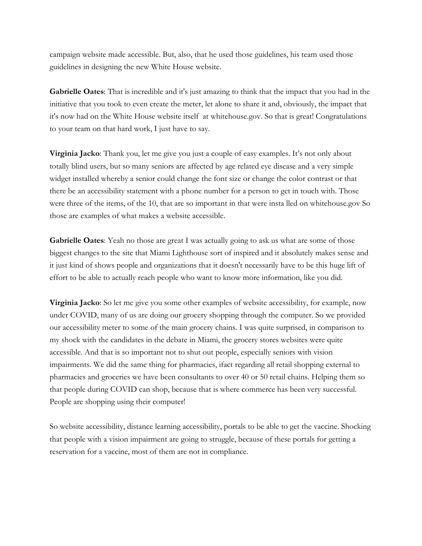campaign website made accessible. But, also, that he used those guidelines, his team used those guidelines in designing the new White House website.

**Gabrielle Oates**: That is incredible and it's just amazing to think that the impact that you had in the initiative that you took to even create the meter, let alone to share it and, obviously, the impact that it's now had on the White House website itself at whitehouse.gov. So that is great! Congratulations to your team on that hard work, I just have to say.

**Virginia Jacko**: Thank you, let me give you just a couple of easy examples. It's not only about totally blind users, but so many seniors are affected by age related eye disease and a very simple widget installed whereby a senior could change the font size or change the color contrast or that there be an accessibility statement with a phone number for a person to get in touch with. Those were three of the items, of the 10, that are so important in that were insta lled on whitehouse.gov So those are examples of what makes a website accessible.

**Gabrielle Oates:** Yeah no those are great I was actually going to ask us what are some of those biggest changes to the site that Miami Lighthouse sort of inspired and it absolutely makes sense and it just kind of shows people and organizations that it doesn't necessarily have to be this huge lift of effort to be able to actually reach people who want to know more information, like you did.

**Virginia Jacko**: So let me give you some other examples of website accessibility, for example, now under COVID, many of us are doing our grocery shopping through the computer. So we provided our accessibility meter to some of the main grocery chains. I was quite surprised, in comparison to my shock with the candidates in the debate in Miami, the grocery stores websites were quite accessible. And that is so important not to shut out people, especially seniors with vision impairments. We did the same thing for pharmacies, ifact regarding all retail shopping external to pharmacies and groceries we have been consultants to over 40 or 50 retail chains. Helping them so that people during COVID can shop, because that is where commerce has been very successful. People are shopping using their computer!

So website accessibility, distance learning accessibility, portals to be able to get the vaccine. Shocking that people with a vision impairment are going to struggle, because of these portals for getting a reservation for a vaccine, most of them are not in compliance.